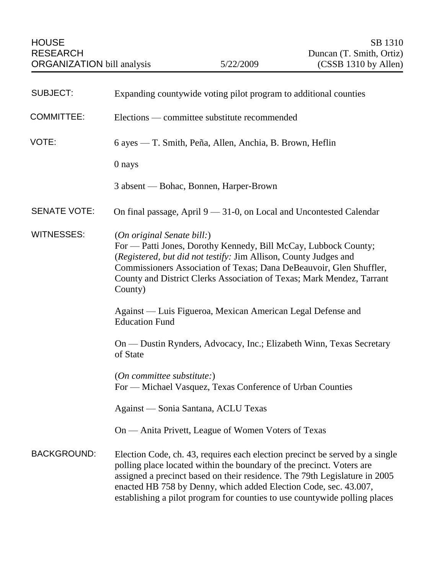| <b>SUBJECT:</b>     | Expanding countywide voting pilot program to additional counties                                                                                                                                                                                                                                                                                                                      |
|---------------------|---------------------------------------------------------------------------------------------------------------------------------------------------------------------------------------------------------------------------------------------------------------------------------------------------------------------------------------------------------------------------------------|
| <b>COMMITTEE:</b>   | Elections — committee substitute recommended                                                                                                                                                                                                                                                                                                                                          |
| VOTE:               | 6 ayes — T. Smith, Peña, Allen, Anchia, B. Brown, Heflin                                                                                                                                                                                                                                                                                                                              |
|                     | 0 nays                                                                                                                                                                                                                                                                                                                                                                                |
|                     | 3 absent — Bohac, Bonnen, Harper-Brown                                                                                                                                                                                                                                                                                                                                                |
| <b>SENATE VOTE:</b> | On final passage, April $9 - 31-0$ , on Local and Uncontested Calendar                                                                                                                                                                                                                                                                                                                |
| <b>WITNESSES:</b>   | (On original Senate bill:)<br>For — Patti Jones, Dorothy Kennedy, Bill McCay, Lubbock County;<br>(Registered, but did not testify: Jim Allison, County Judges and<br>Commissioners Association of Texas; Dana DeBeauvoir, Glen Shuffler,<br>County and District Clerks Association of Texas; Mark Mendez, Tarrant<br>County)                                                          |
|                     | Against — Luis Figueroa, Mexican American Legal Defense and<br><b>Education Fund</b>                                                                                                                                                                                                                                                                                                  |
|                     | On — Dustin Rynders, Advocacy, Inc.; Elizabeth Winn, Texas Secretary<br>of State                                                                                                                                                                                                                                                                                                      |
|                     | $(On\ committee\ substitute)$<br>For — Michael Vasquez, Texas Conference of Urban Counties                                                                                                                                                                                                                                                                                            |
|                     | Against — Sonia Santana, ACLU Texas                                                                                                                                                                                                                                                                                                                                                   |
|                     | On — Anita Privett, League of Women Voters of Texas                                                                                                                                                                                                                                                                                                                                   |
| <b>BACKGROUND:</b>  | Election Code, ch. 43, requires each election precinct be served by a single<br>polling place located within the boundary of the precinct. Voters are<br>assigned a precinct based on their residence. The 79th Legislature in 2005<br>enacted HB 758 by Denny, which added Election Code, sec. 43.007,<br>establishing a pilot program for counties to use countywide polling places |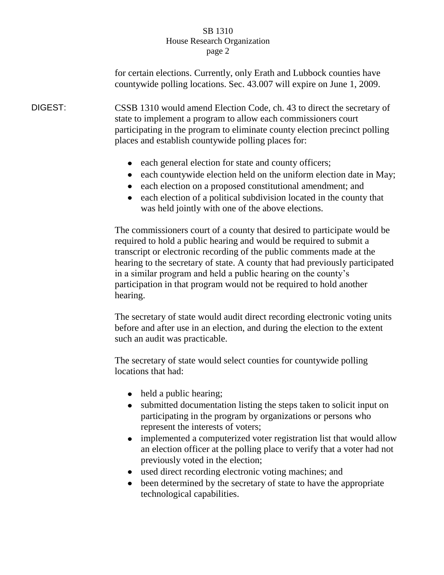for certain elections. Currently, only Erath and Lubbock counties have countywide polling locations. Sec. 43.007 will expire on June 1, 2009.

DIGEST: CSSB 1310 would amend Election Code, ch. 43 to direct the secretary of state to implement a program to allow each commissioners court participating in the program to eliminate county election precinct polling places and establish countywide polling places for:

- each general election for state and county officers;
- each countywide election held on the uniform election date in May;
- each election on a proposed constitutional amendment; and
- each election of a political subdivision located in the county that was held jointly with one of the above elections.

The commissioners court of a county that desired to participate would be required to hold a public hearing and would be required to submit a transcript or electronic recording of the public comments made at the hearing to the secretary of state. A county that had previously participated in a similar program and held a public hearing on the county's participation in that program would not be required to hold another hearing.

The secretary of state would audit direct recording electronic voting units before and after use in an election, and during the election to the extent such an audit was practicable.

The secretary of state would select counties for countywide polling locations that had:

- held a public hearing;
- submitted documentation listing the steps taken to solicit input on participating in the program by organizations or persons who represent the interests of voters;
- implemented a computerized voter registration list that would allow an election officer at the polling place to verify that a voter had not previously voted in the election;
- used direct recording electronic voting machines; and  $\bullet$
- been determined by the secretary of state to have the appropriate technological capabilities.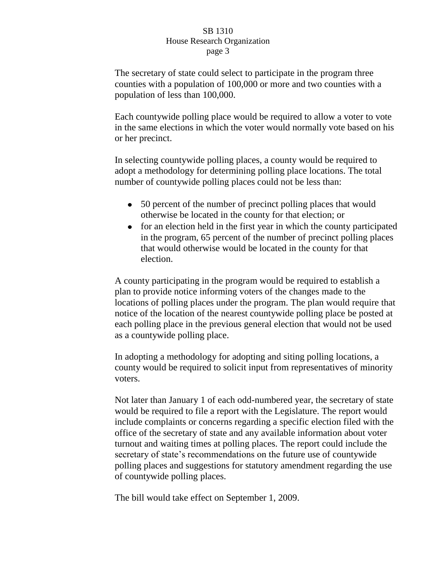The secretary of state could select to participate in the program three counties with a population of 100,000 or more and two counties with a population of less than 100,000.

Each countywide polling place would be required to allow a voter to vote in the same elections in which the voter would normally vote based on his or her precinct.

In selecting countywide polling places, a county would be required to adopt a methodology for determining polling place locations. The total number of countywide polling places could not be less than:

- 50 percent of the number of precinct polling places that would otherwise be located in the county for that election; or
- for an election held in the first year in which the county participated in the program, 65 percent of the number of precinct polling places that would otherwise would be located in the county for that election.

A county participating in the program would be required to establish a plan to provide notice informing voters of the changes made to the locations of polling places under the program. The plan would require that notice of the location of the nearest countywide polling place be posted at each polling place in the previous general election that would not be used as a countywide polling place.

In adopting a methodology for adopting and siting polling locations, a county would be required to solicit input from representatives of minority voters.

Not later than January 1 of each odd-numbered year, the secretary of state would be required to file a report with the Legislature. The report would include complaints or concerns regarding a specific election filed with the office of the secretary of state and any available information about voter turnout and waiting times at polling places. The report could include the secretary of state's recommendations on the future use of countywide polling places and suggestions for statutory amendment regarding the use of countywide polling places.

The bill would take effect on September 1, 2009.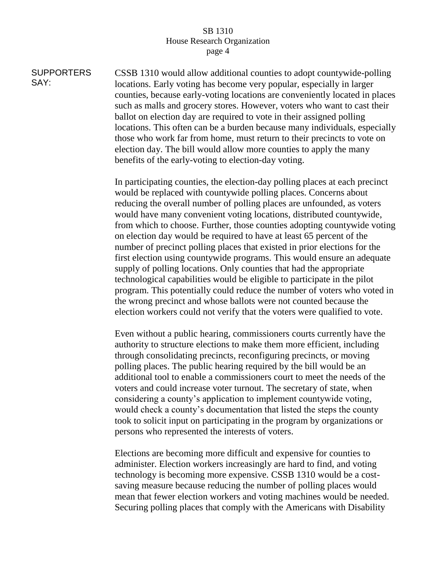**SUPPORTERS** SAY: CSSB 1310 would allow additional counties to adopt countywide-polling locations. Early voting has become very popular, especially in larger counties, because early-voting locations are conveniently located in places such as malls and grocery stores. However, voters who want to cast their ballot on election day are required to vote in their assigned polling locations. This often can be a burden because many individuals, especially those who work far from home, must return to their precincts to vote on election day. The bill would allow more counties to apply the many benefits of the early-voting to election-day voting.

> In participating counties, the election-day polling places at each precinct would be replaced with countywide polling places. Concerns about reducing the overall number of polling places are unfounded, as voters would have many convenient voting locations, distributed countywide, from which to choose. Further, those counties adopting countywide voting on election day would be required to have at least 65 percent of the number of precinct polling places that existed in prior elections for the first election using countywide programs. This would ensure an adequate supply of polling locations. Only counties that had the appropriate technological capabilities would be eligible to participate in the pilot program. This potentially could reduce the number of voters who voted in the wrong precinct and whose ballots were not counted because the election workers could not verify that the voters were qualified to vote.

Even without a public hearing, commissioners courts currently have the authority to structure elections to make them more efficient, including through consolidating precincts, reconfiguring precincts, or moving polling places. The public hearing required by the bill would be an additional tool to enable a commissioners court to meet the needs of the voters and could increase voter turnout. The secretary of state, when considering a county's application to implement countywide voting, would check a county's documentation that listed the steps the county took to solicit input on participating in the program by organizations or persons who represented the interests of voters.

Elections are becoming more difficult and expensive for counties to administer. Election workers increasingly are hard to find, and voting technology is becoming more expensive. CSSB 1310 would be a costsaving measure because reducing the number of polling places would mean that fewer election workers and voting machines would be needed. Securing polling places that comply with the Americans with Disability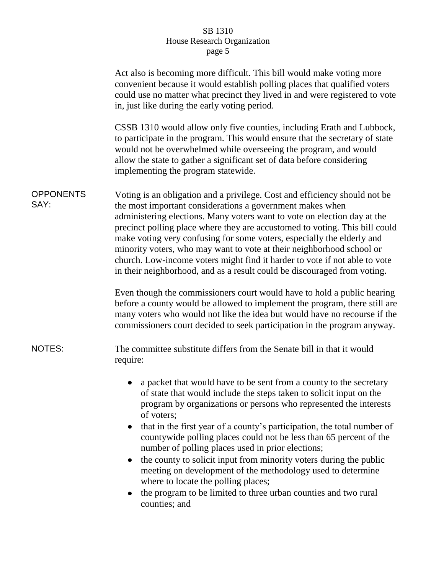|                          | Act also is becoming more difficult. This bill would make voting more<br>convenient because it would establish polling places that qualified voters<br>could use no matter what precinct they lived in and were registered to vote<br>in, just like during the early voting period.                                                                                                                                                                                                                                                                                                                                                                                                                                          |
|--------------------------|------------------------------------------------------------------------------------------------------------------------------------------------------------------------------------------------------------------------------------------------------------------------------------------------------------------------------------------------------------------------------------------------------------------------------------------------------------------------------------------------------------------------------------------------------------------------------------------------------------------------------------------------------------------------------------------------------------------------------|
|                          | CSSB 1310 would allow only five counties, including Erath and Lubbock,<br>to participate in the program. This would ensure that the secretary of state<br>would not be overwhelmed while overseeing the program, and would<br>allow the state to gather a significant set of data before considering<br>implementing the program statewide.                                                                                                                                                                                                                                                                                                                                                                                  |
| <b>OPPONENTS</b><br>SAY: | Voting is an obligation and a privilege. Cost and efficiency should not be<br>the most important considerations a government makes when<br>administering elections. Many voters want to vote on election day at the<br>precinct polling place where they are accustomed to voting. This bill could<br>make voting very confusing for some voters, especially the elderly and<br>minority voters, who may want to vote at their neighborhood school or<br>church. Low-income voters might find it harder to vote if not able to vote<br>in their neighborhood, and as a result could be discouraged from voting.                                                                                                              |
|                          | Even though the commissioners court would have to hold a public hearing<br>before a county would be allowed to implement the program, there still are<br>many voters who would not like the idea but would have no recourse if the<br>commissioners court decided to seek participation in the program anyway.                                                                                                                                                                                                                                                                                                                                                                                                               |
| <b>NOTES:</b>            | The committee substitute differs from the Senate bill in that it would<br>require:                                                                                                                                                                                                                                                                                                                                                                                                                                                                                                                                                                                                                                           |
|                          | a packet that would have to be sent from a county to the secretary<br>of state that would include the steps taken to solicit input on the<br>program by organizations or persons who represented the interests<br>of voters;<br>that in the first year of a county's participation, the total number of<br>$\bullet$<br>countywide polling places could not be less than 65 percent of the<br>number of polling places used in prior elections;<br>the county to solicit input from minority voters during the public<br>$\bullet$<br>meeting on development of the methodology used to determine<br>where to locate the polling places;<br>the program to be limited to three urban counties and two rural<br>counties; and |